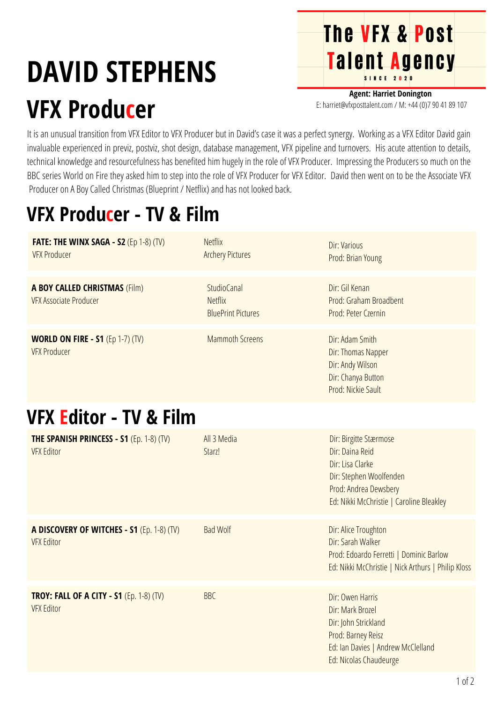# **DAVID STEPHENS VFX Producer**

**Agent: Harriet Donington** E: harriet@vfxposttalent.com / M:+44(0)7904189107

**The VFX & Post** 

Talent Agency

It is an unusual transition from VFX Editor to VFX Producer but in David's case it was a perfect synergy. Working as a VFX Editor David gain invaluable experienced in previz, postviz, shot design, database management, VFX pipeline and turnovers. His acute attention to details, technical knowledge and resourcefulness has benefited him hugely in the role of VFX Producer. Impressing the Producers so much on the BBC series World on Fire they asked him to step into the role of VFX Producer for VFX Editor. David then went on to be the Associate VFX Producer on A Boy Called Christmas (Blueprint / Netflix) and has not looked back.

### **VFX Producer - TV & Film**

| <b>FATE: THE WINX SAGA - S2 (Ep 1-8) (TV)</b><br><b>VFX Producer</b>  | <b>Netflix</b><br><b>Archery Pictures</b>                         | Dir: Various<br>Prod: Brian Young                                                                                                                             |
|-----------------------------------------------------------------------|-------------------------------------------------------------------|---------------------------------------------------------------------------------------------------------------------------------------------------------------|
| <b>A BOY CALLED CHRISTMAS (Film)</b><br><b>VFX Associate Producer</b> | <b>StudioCanal</b><br><b>Netflix</b><br><b>BluePrint Pictures</b> | Dir: Gil Kenan<br>Prod: Graham Broadbent<br>Prod: Peter Czernin                                                                                               |
| <b>WORLD ON FIRE - S1 (Ep 1-7) (TV)</b><br><b>VFX Producer</b>        | <b>Mammoth Screens</b>                                            | Dir: Adam Smith<br>Dir: Thomas Napper<br>Dir: Andy Wilson<br>Dir: Chanya Button<br>Prod: Nickie Sault                                                         |
| VFX Editor - TV & Film                                                |                                                                   |                                                                                                                                                               |
| <b>THE SPANISH PRINCESS - S1 (Ep. 1-8) (TV)</b><br><b>VFX Editor</b>  | All 3 Media<br>Starz!                                             | Dir: Birgitte Stærmose<br>Dir: Daina Reid<br>Dir: Lisa Clarke<br>Dir: Stephen Woolfenden<br>Prod: Andrea Dewsbery<br>Ed: Nikki McChristie   Caroline Bleakley |
| A DISCOVERY OF WITCHES - S1 (Ep. 1-8) (TV)<br><b>VFX Editor</b>       | <b>Bad Wolf</b>                                                   | Dir: Alice Troughton<br>Dir: Sarah Walker<br>Prod: Edoardo Ferretti   Dominic Barlow<br>Ed: Nikki McChristie   Nick Arthurs   Philip Kloss                    |
| <b>TROY: FALL OF A CITY - S1 (Ep. 1-8) (TV)</b><br><b>VFX Editor</b>  | <b>BBC</b>                                                        | Dir: Owen Harris<br>Dir: Mark Brozel<br>Dir: John Strickland<br>Prod: Barney Reisz<br>Ed: Ian Davies   Andrew McClelland<br>Ed: Nicolas Chaudeurge            |